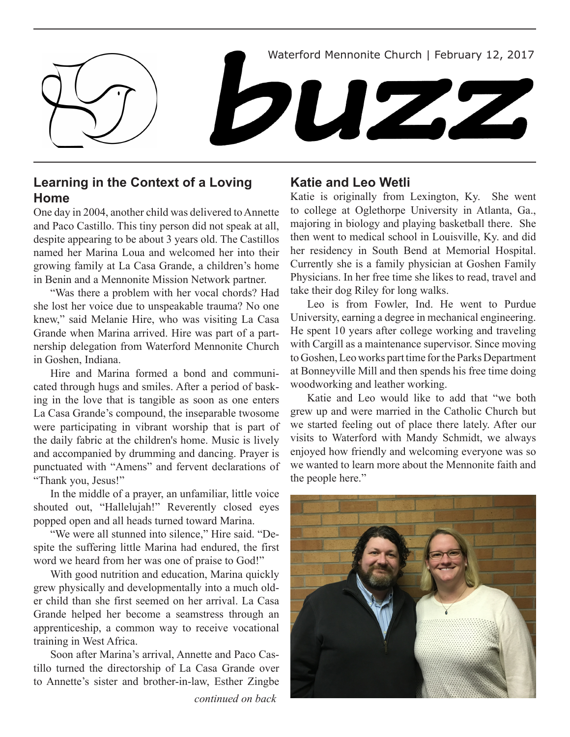Waterford Mennonite Church | February 12, 2017

**buzz** 

# **Learning in the Context of a Loving Home**

One day in 2004, another child was delivered to Annette and Paco Castillo. This tiny person did not speak at all, despite appearing to be about 3 years old. The Castillos named her Marina Loua and welcomed her into their growing family at La Casa Grande, a children's home in Benin and a Mennonite Mission Network partner.

"Was there a problem with her vocal chords? Had she lost her voice due to unspeakable trauma? No one knew," said Melanie Hire, who was visiting La Casa Grande when Marina arrived. Hire was part of a partnership delegation from Waterford Mennonite Church in Goshen, Indiana.

Hire and Marina formed a bond and communicated through hugs and smiles. After a period of basking in the love that is tangible as soon as one enters La Casa Grande's compound, the inseparable twosome were participating in vibrant worship that is part of the daily fabric at the children's home. Music is lively and accompanied by drumming and dancing. Prayer is punctuated with "Amens" and fervent declarations of "Thank you, Jesus!"

In the middle of a prayer, an unfamiliar, little voice shouted out, "Hallelujah!" Reverently closed eyes popped open and all heads turned toward Marina.

"We were all stunned into silence," Hire said. "Despite the suffering little Marina had endured, the first word we heard from her was one of praise to God!"

With good nutrition and education, Marina quickly grew physically and developmentally into a much older child than she first seemed on her arrival. La Casa Grande helped her become a seamstress through an apprenticeship, a common way to receive vocational training in West Africa.

Soon after Marina's arrival, Annette and Paco Castillo turned the directorship of La Casa Grande over to Annette's sister and brother-in-law, Esther Zingbe

*continued on back*

# **Katie and Leo Wetli**

Katie is originally from Lexington, Ky. She went to college at Oglethorpe University in Atlanta, Ga., majoring in biology and playing basketball there. She then went to medical school in Louisville, Ky. and did her residency in South Bend at Memorial Hospital. Currently she is a family physician at Goshen Family Physicians. In her free time she likes to read, travel and take their dog Riley for long walks.

Leo is from Fowler, Ind. He went to Purdue University, earning a degree in mechanical engineering. He spent 10 years after college working and traveling with Cargill as a maintenance supervisor. Since moving to Goshen, Leo works part time for the Parks Department at Bonneyville Mill and then spends his free time doing woodworking and leather working.

Katie and Leo would like to add that "we both grew up and were married in the Catholic Church but we started feeling out of place there lately. After our visits to Waterford with Mandy Schmidt, we always enjoyed how friendly and welcoming everyone was so we wanted to learn more about the Mennonite faith and the people here."